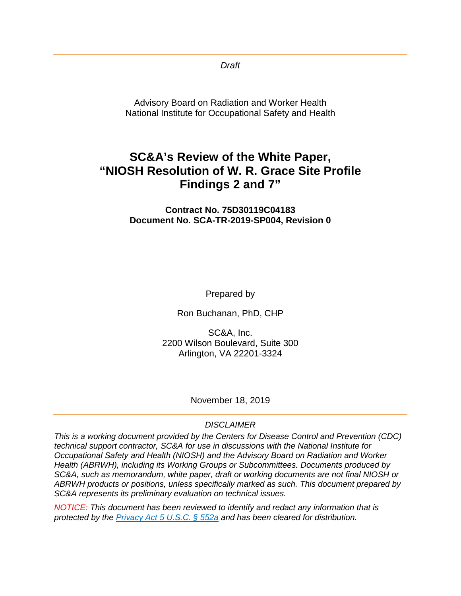*Draft*

Advisory Board on Radiation and Worker Health National Institute for Occupational Safety and Health

# **SC&A's Review of the White Paper, "NIOSH Resolution of W. R. Grace Site Profile Findings 2 and 7"**

**Contract No. 75D30119C04183 Document No. SCA-TR-2019-SP004, Revision 0**

Prepared by

Ron Buchanan, PhD, CHP

SC&A, Inc. 2200 Wilson Boulevard, Suite 300 Arlington, VA 22201-3324

November 18, 2019

#### *DISCLAIMER*

*This is a working document provided by the Centers for Disease Control and Prevention (CDC) technical support contractor, SC&A for use in discussions with the National Institute for Occupational Safety and Health (NIOSH) and the Advisory Board on Radiation and Worker Health (ABRWH), including its Working Groups or Subcommittees. Documents produced by SC&A, such as memorandum, white paper, draft or working documents are not final NIOSH or ABRWH products or positions, unless specifically marked as such. This document prepared by SC&A represents its preliminary evaluation on technical issues.*

*NOTICE: This document has been reviewed to identify and redact any information that is protected by the [Privacy Act 5 U.S.C. § 552a](http://www.justice.gov/opcl/privacy-act-1974) and has been cleared for distribution.*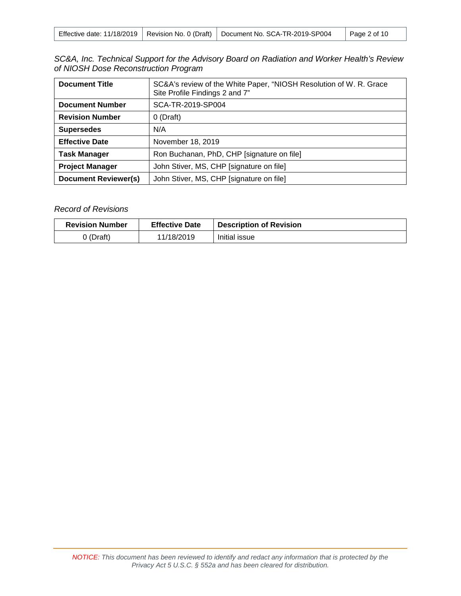|  |  | Effective date: 11/18/2019   Revision No. 0 (Draft)   Document No. SCA-TR-2019-SP004 | $^{\circ}$ Page 2 of 10 |
|--|--|--------------------------------------------------------------------------------------|-------------------------|
|--|--|--------------------------------------------------------------------------------------|-------------------------|

|  |                                      |  |  | SC&A, Inc. Technical Support for the Advisory Board on Radiation and Worker Health's Review |  |
|--|--------------------------------------|--|--|---------------------------------------------------------------------------------------------|--|
|  | of NIOSH Dose Reconstruction Program |  |  |                                                                                             |  |

| <b>Document Title</b>       | SC&A's review of the White Paper, "NIOSH Resolution of W. R. Grace<br>Site Profile Findings 2 and 7" |  |  |
|-----------------------------|------------------------------------------------------------------------------------------------------|--|--|
| <b>Document Number</b>      | SCA-TR-2019-SP004                                                                                    |  |  |
| <b>Revision Number</b>      | $0$ (Draft)                                                                                          |  |  |
| <b>Supersedes</b>           | N/A                                                                                                  |  |  |
| <b>Effective Date</b>       | November 18, 2019                                                                                    |  |  |
| <b>Task Manager</b>         | Ron Buchanan, PhD, CHP [signature on file]                                                           |  |  |
| <b>Project Manager</b>      | John Stiver, MS, CHP [signature on file]                                                             |  |  |
| <b>Document Reviewer(s)</b> | John Stiver, MS, CHP [signature on file]                                                             |  |  |

#### *Record of Revisions*

| <b>Revision Number</b> | <b>Effective Date</b> | <b>Description of Revision</b> |
|------------------------|-----------------------|--------------------------------|
| $0$ (Draft)            | 11/18/2019            | Initial issue                  |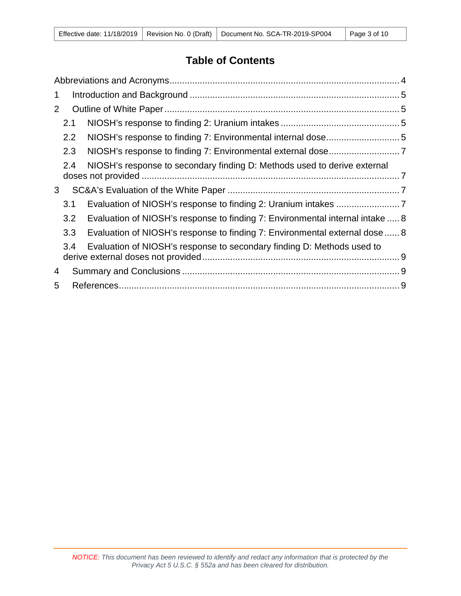## **Table of Contents**

| 1 |     |                                                                               |  |
|---|-----|-------------------------------------------------------------------------------|--|
| 2 |     |                                                                               |  |
|   | 2.1 |                                                                               |  |
|   | 2.2 |                                                                               |  |
|   | 2.3 |                                                                               |  |
|   | 2.4 | NIOSH's response to secondary finding D: Methods used to derive external      |  |
| 3 |     |                                                                               |  |
|   | 3.1 |                                                                               |  |
|   | 3.2 | Evaluation of NIOSH's response to finding 7: Environmental internal intake  8 |  |
|   | 3.3 | Evaluation of NIOSH's response to finding 7: Environmental external dose  8   |  |
|   | 3.4 | Evaluation of NIOSH's response to secondary finding D: Methods used to        |  |
| 4 |     |                                                                               |  |
| 5 |     |                                                                               |  |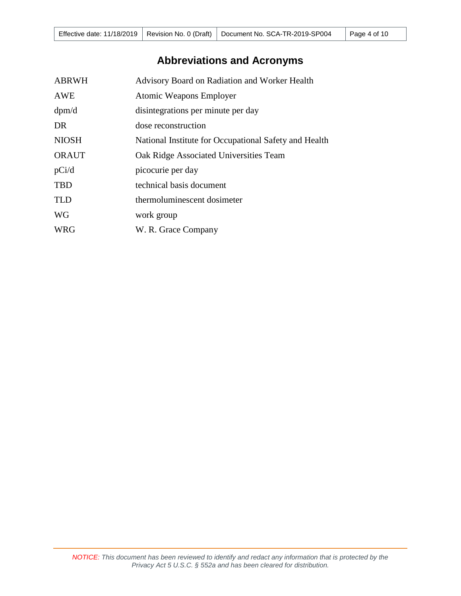# **Abbreviations and Acronyms**

<span id="page-3-0"></span>

| <b>ABRWH</b> | Advisory Board on Radiation and Worker Health         |
|--------------|-------------------------------------------------------|
| <b>AWE</b>   | Atomic Weapons Employer                               |
| dpm/d        | disintegrations per minute per day                    |
| DR           | dose reconstruction                                   |
| <b>NIOSH</b> | National Institute for Occupational Safety and Health |
| <b>ORAUT</b> | Oak Ridge Associated Universities Team                |
| pCi/d        | picocurie per day                                     |
| <b>TBD</b>   | technical basis document                              |
| <b>TLD</b>   | thermoluminescent dosimeter                           |
| <b>WG</b>    | work group                                            |
| <b>WRG</b>   | W. R. Grace Company                                   |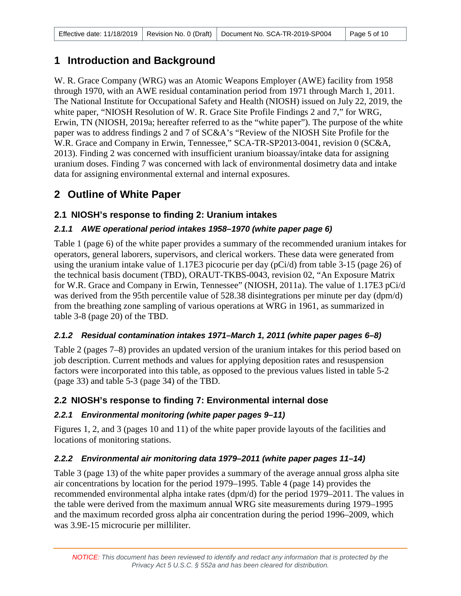## <span id="page-4-0"></span>**1 Introduction and Background**

W. R. Grace Company (WRG) was an Atomic Weapons Employer (AWE) facility from 1958 through 1970, with an AWE residual contamination period from 1971 through March 1, 2011. The National Institute for Occupational Safety and Health (NIOSH) issued on July 22, 2019, the white paper, "NIOSH Resolution of W. R. Grace Site Profile Findings 2 and 7," for WRG, Erwin, TN (NIOSH, 2019a; hereafter referred to as the "white paper"). The purpose of the white paper was to address findings 2 and 7 of SC&A's "Review of the NIOSH Site Profile for the W.R. Grace and Company in Erwin, Tennessee," SCA-TR-SP2013-0041, revision 0 (SC&A, 2013). Finding 2 was concerned with insufficient uranium bioassay/intake data for assigning uranium doses. Finding 7 was concerned with lack of environmental dosimetry data and intake data for assigning environmental external and internal exposures.

## <span id="page-4-1"></span>**2 Outline of White Paper**

## <span id="page-4-2"></span>**2.1 NIOSH's response to finding 2: Uranium intakes**

## *2.1.1 AWE operational period intakes 1958–1970 (white paper page 6)*

Table 1 (page 6) of the white paper provides a summary of the recommended uranium intakes for operators, general laborers, supervisors, and clerical workers. These data were generated from using the uranium intake value of 1.17E3 picocurie per day (pCi/d) from table 3-15 (page 26) of the technical basis document (TBD), ORAUT-TKBS-0043, revision 02, "An Exposure Matrix for W.R. Grace and Company in Erwin, Tennessee" (NIOSH, 2011a). The value of 1.17E3 pCi/d was derived from the 95th percentile value of 528.38 disintegrations per minute per day (dpm/d) from the breathing zone sampling of various operations at WRG in 1961, as summarized in table 3-8 (page 20) of the TBD.

## *2.1.2 Residual contamination intakes 1971–March 1, 2011 (white paper pages 6–8)*

Table 2 (pages 7–8) provides an updated version of the uranium intakes for this period based on job description. Current methods and values for applying deposition rates and resuspension factors were incorporated into this table, as opposed to the previous values listed in table 5-2 (page 33) and table 5-3 (page 34) of the TBD.

## <span id="page-4-3"></span>**2.2 NIOSH's response to finding 7: Environmental internal dose**

## *2.2.1 Environmental monitoring (white paper pages 9–11)*

Figures 1, 2, and 3 (pages 10 and 11) of the white paper provide layouts of the facilities and locations of monitoring stations.

## *2.2.2 Environmental air monitoring data 1979–2011 (white paper pages 11–14)*

Table 3 (page 13) of the white paper provides a summary of the average annual gross alpha site air concentrations by location for the period 1979–1995. Table 4 (page 14) provides the recommended environmental alpha intake rates (dpm/d) for the period 1979–2011. The values in the table were derived from the maximum annual WRG site measurements during 1979–1995 and the maximum recorded gross alpha air concentration during the period 1996–2009, which was 3.9E-15 microcurie per milliliter.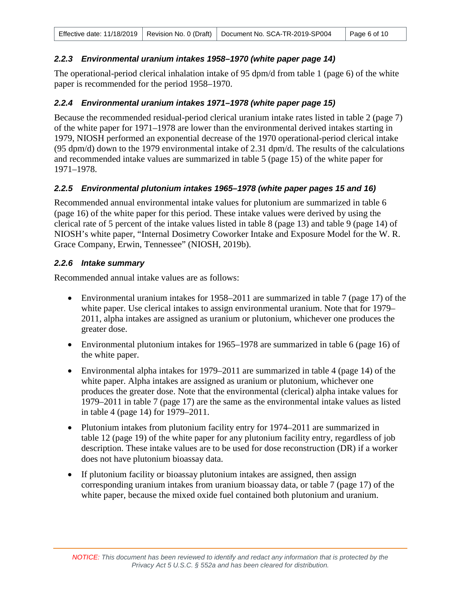#### *2.2.3 Environmental uranium intakes 1958–1970 (white paper page 14)*

The operational-period clerical inhalation intake of 95 dpm/d from table 1 (page 6) of the white paper is recommended for the period 1958–1970.

#### *2.2.4 Environmental uranium intakes 1971–1978 (white paper page 15)*

Because the recommended residual-period clerical uranium intake rates listed in table 2 (page 7) of the white paper for 1971–1978 are lower than the environmental derived intakes starting in 1979, NIOSH performed an exponential decrease of the 1970 operational-period clerical intake (95 dpm/d) down to the 1979 environmental intake of 2.31 dpm/d. The results of the calculations and recommended intake values are summarized in table 5 (page 15) of the white paper for 1971–1978.

#### *2.2.5 Environmental plutonium intakes 1965–1978 (white paper pages 15 and 16)*

Recommended annual environmental intake values for plutonium are summarized in table 6 (page 16) of the white paper for this period. These intake values were derived by using the clerical rate of 5 percent of the intake values listed in table 8 (page 13) and table 9 (page 14) of NIOSH's white paper, "Internal Dosimetry Coworker Intake and Exposure Model for the W. R. Grace Company, Erwin, Tennessee" (NIOSH, 2019b).

#### *2.2.6 Intake summary*

Recommended annual intake values are as follows:

- Environmental uranium intakes for 1958–2011 are summarized in table 7 (page 17) of the white paper. Use clerical intakes to assign environmental uranium. Note that for 1979– 2011, alpha intakes are assigned as uranium or plutonium, whichever one produces the greater dose.
- Environmental plutonium intakes for 1965–1978 are summarized in table 6 (page 16) of the white paper.
- Environmental alpha intakes for 1979–2011 are summarized in table 4 (page 14) of the white paper. Alpha intakes are assigned as uranium or plutonium, whichever one produces the greater dose. Note that the environmental (clerical) alpha intake values for 1979–2011 in table 7 (page 17) are the same as the environmental intake values as listed in table 4 (page 14) for 1979–2011.
- Plutonium intakes from plutonium facility entry for 1974–2011 are summarized in table 12 (page 19) of the white paper for any plutonium facility entry, regardless of job description. These intake values are to be used for dose reconstruction (DR) if a worker does not have plutonium bioassay data.
- If plutonium facility or bioassay plutonium intakes are assigned, then assign corresponding uranium intakes from uranium bioassay data, or table 7 (page 17) of the white paper, because the mixed oxide fuel contained both plutonium and uranium.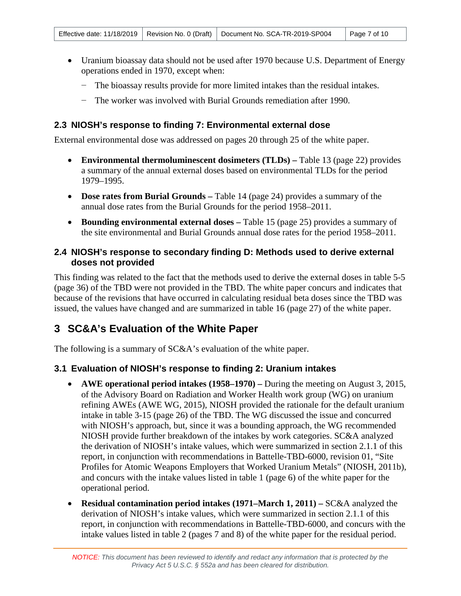- Uranium bioassay data should not be used after 1970 because U.S. Department of Energy operations ended in 1970, except when:
	- − The bioassay results provide for more limited intakes than the residual intakes.
	- − The worker was involved with Burial Grounds remediation after 1990.

### <span id="page-6-0"></span>**2.3 NIOSH's response to finding 7: Environmental external dose**

External environmental dose was addressed on pages 20 through 25 of the white paper.

- **Environmental thermoluminescent dosimeters (TLDs) –** Table 13 (page 22) provides a summary of the annual external doses based on environmental TLDs for the period 1979–1995.
- **Dose rates from Burial Grounds –** Table 14 (page 24) provides a summary of the annual dose rates from the Burial Grounds for the period 1958–2011.
- **Bounding environmental external doses –** Table 15 (page 25) provides a summary of the site environmental and Burial Grounds annual dose rates for the period 1958–2011.

#### <span id="page-6-1"></span>**2.4 NIOSH's response to secondary finding D: Methods used to derive external doses not provided**

This finding was related to the fact that the methods used to derive the external doses in table 5-5 (page 36) of the TBD were not provided in the TBD. The white paper concurs and indicates that because of the revisions that have occurred in calculating residual beta doses since the TBD was issued, the values have changed and are summarized in table 16 (page 27) of the white paper.

## <span id="page-6-2"></span>**3 SC&A's Evaluation of the White Paper**

The following is a summary of SC&A's evaluation of the white paper.

## <span id="page-6-3"></span>**3.1 Evaluation of NIOSH's response to finding 2: Uranium intakes**

- **AWE operational period intakes (1958–1970) –** During the meeting on August 3, 2015, of the Advisory Board on Radiation and Worker Health work group (WG) on uranium refining AWEs (AWE WG, 2015), NIOSH provided the rationale for the default uranium intake in table 3-15 (page 26) of the TBD. The WG discussed the issue and concurred with NIOSH's approach, but, since it was a bounding approach, the WG recommended NIOSH provide further breakdown of the intakes by work categories. SC&A analyzed the derivation of NIOSH's intake values, which were summarized in section 2.1.1 of this report, in conjunction with recommendations in Battelle-TBD-6000, revision 01, "Site Profiles for Atomic Weapons Employers that Worked Uranium Metals" (NIOSH, 2011b), and concurs with the intake values listed in table 1 (page 6) of the white paper for the operational period.
- **Residual contamination period intakes (1971–March 1, 2011) –** SC&A analyzed the derivation of NIOSH's intake values, which were summarized in section 2.1.1 of this report, in conjunction with recommendations in Battelle-TBD-6000, and concurs with the intake values listed in table 2 (pages 7 and 8) of the white paper for the residual period.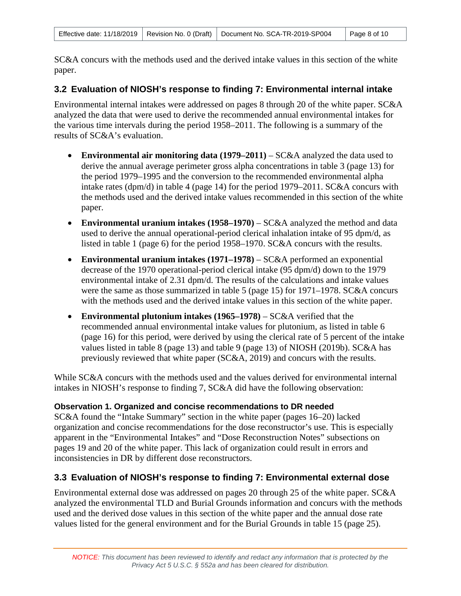SC&A concurs with the methods used and the derived intake values in this section of the white paper.

#### <span id="page-7-0"></span>**3.2 Evaluation of NIOSH's response to finding 7: Environmental internal intake**

Environmental internal intakes were addressed on pages 8 through 20 of the white paper. SC&A analyzed the data that were used to derive the recommended annual environmental intakes for the various time intervals during the period 1958–2011. The following is a summary of the results of SC&A's evaluation.

- **Environmental air monitoring data (1979–2011)** SC&A analyzed the data used to derive the annual average perimeter gross alpha concentrations in table 3 (page 13) for the period 1979–1995 and the conversion to the recommended environmental alpha intake rates (dpm/d) in table 4 (page 14) for the period 1979–2011. SC&A concurs with the methods used and the derived intake values recommended in this section of the white paper.
- **Environmental uranium intakes (1958–1970)** SC&A analyzed the method and data used to derive the annual operational-period clerical inhalation intake of 95 dpm/d, as listed in table 1 (page 6) for the period 1958–1970. SC&A concurs with the results.
- **Environmental uranium intakes (1971–1978)**  SC&A performed an exponential decrease of the 1970 operational-period clerical intake (95 dpm/d) down to the 1979 environmental intake of 2.31 dpm/d. The results of the calculations and intake values were the same as those summarized in table 5 (page 15) for 1971–1978. SC&A concurs with the methods used and the derived intake values in this section of the white paper.
- **Environmental plutonium intakes (1965–1978)** SC&A verified that the recommended annual environmental intake values for plutonium, as listed in table 6 (page 16) for this period, were derived by using the clerical rate of 5 percent of the intake values listed in table 8 (page 13) and table 9 (page 13) of NIOSH (2019b). SC&A has previously reviewed that white paper (SC&A, 2019) and concurs with the results.

While SC&A concurs with the methods used and the values derived for environmental internal intakes in NIOSH's response to finding 7, SC&A did have the following observation:

#### **Observation 1. Organized and concise recommendations to DR needed**

SC&A found the "Intake Summary" section in the white paper (pages 16–20) lacked organization and concise recommendations for the dose reconstructor's use. This is especially apparent in the "Environmental Intakes" and "Dose Reconstruction Notes" subsections on pages 19 and 20 of the white paper. This lack of organization could result in errors and inconsistencies in DR by different dose reconstructors.

#### <span id="page-7-1"></span>**3.3 Evaluation of NIOSH's response to finding 7: Environmental external dose**

Environmental external dose was addressed on pages 20 through 25 of the white paper. SC&A analyzed the environmental TLD and Burial Grounds information and concurs with the methods used and the derived dose values in this section of the white paper and the annual dose rate values listed for the general environment and for the Burial Grounds in table 15 (page 25).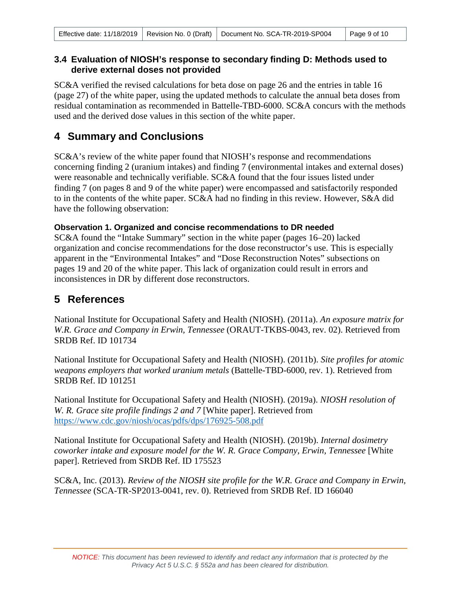#### <span id="page-8-0"></span>**3.4 Evaluation of NIOSH's response to secondary finding D: Methods used to derive external doses not provided**

SC&A verified the revised calculations for beta dose on page 26 and the entries in table 16 (page 27) of the white paper, using the updated methods to calculate the annual beta doses from residual contamination as recommended in Battelle-TBD-6000. SC&A concurs with the methods used and the derived dose values in this section of the white paper.

## <span id="page-8-1"></span>**4 Summary and Conclusions**

SC&A's review of the white paper found that NIOSH's response and recommendations concerning finding 2 (uranium intakes) and finding 7 (environmental intakes and external doses) were reasonable and technically verifiable. SC&A found that the four issues listed under finding 7 (on pages 8 and 9 of the white paper) were encompassed and satisfactorily responded to in the contents of the white paper. SC&A had no finding in this review. However, S&A did have the following observation:

### **Observation 1. Organized and concise recommendations to DR needed**

SC&A found the "Intake Summary" section in the white paper (pages 16–20) lacked organization and concise recommendations for the dose reconstructor's use. This is especially apparent in the "Environmental Intakes" and "Dose Reconstruction Notes" subsections on pages 19 and 20 of the white paper. This lack of organization could result in errors and inconsistences in DR by different dose reconstructors.

## <span id="page-8-2"></span>**5 References**

National Institute for Occupational Safety and Health (NIOSH). (2011a). *An exposure matrix for W.R. Grace and Company in Erwin, Tennessee* (ORAUT-TKBS-0043, rev. 02). Retrieved from SRDB Ref. ID 101734

National Institute for Occupational Safety and Health (NIOSH). (2011b). *Site profiles for atomic weapons employers that worked uranium metals* (Battelle-TBD-6000, rev. 1). Retrieved from SRDB Ref. ID 101251

National Institute for Occupational Safety and Health (NIOSH). (2019a). *NIOSH resolution of W. R. Grace site profile findings 2 and 7* [White paper]. Retrieved from <https://www.cdc.gov/niosh/ocas/pdfs/dps/176925-508.pdf>

National Institute for Occupational Safety and Health (NIOSH). (2019b). *Internal dosimetry coworker intake and exposure model for the W. R. Grace Company, Erwin, Tennessee* [White paper]. Retrieved from SRDB Ref. ID 175523

SC&A, Inc. (2013). *Review of the NIOSH site profile for the W.R. Grace and Company in Erwin, Tennessee* (SCA-TR-SP2013-0041, rev. 0). Retrieved from SRDB Ref. ID 166040